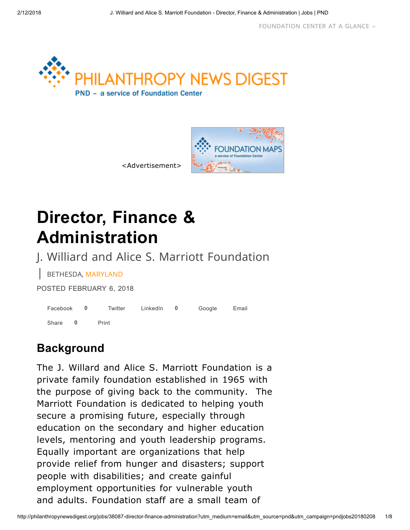



<Advertisement>

# Director, Finance & Administration

J. Williard and Alice S. Marriott Foundation

| BETHESDA, MARYLAND

POSTED FEBRUARY 6, 2018

| Facebook 0 |  | Twitter | LinkedIn 0 | Google | Email |
|------------|--|---------|------------|--------|-------|
| Share 0    |  | Print   |            |        |       |

### **Background**

The J. Willard and Alice S. Marriott Foundation is a private family foundation established in 1965 with the purpose of giving back to the community. The Marriott Foundation is dedicated to helping youth secure a promising future, especially through education on the secondary and higher education levels, mentoring and youth leadership programs. Equally important are organizations that help provide relief from hunger and disasters; support people with disabilities; and create gainful employment opportunities for vulnerable youth and adults. Foundation staff are a small team of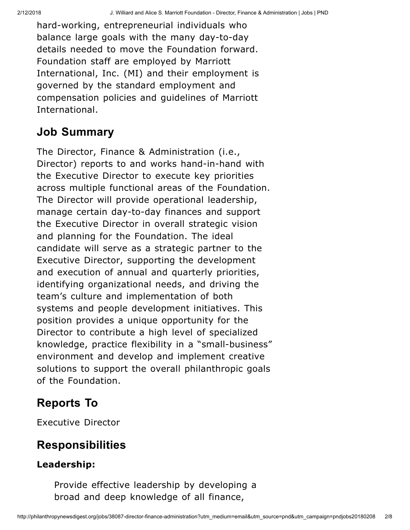hard-working, entrepreneurial individuals who balance large goals with the many day-to-day details needed to move the Foundation forward. Foundation staff are employed by Marriott International, Inc. (MI) and their employment is governed by the standard employment and compensation policies and guidelines of Marriott International.

## Job Summary

The Director, Finance & Administration (i.e., Director) reports to and works hand-in-hand with the Executive Director to execute key priorities across multiple functional areas of the Foundation. The Director will provide operational leadership, manage certain day-to-day finances and support the Executive Director in overall strategic vision and planning for the Foundation. The ideal candidate will serve as a strategic partner to the Executive Director, supporting the development and execution of annual and quarterly priorities, identifying organizational needs, and driving the team's culture and implementation of both systems and people development initiatives. This position provides a unique opportunity for the Director to contribute a high level of specialized knowledge, practice flexibility in a "small-business" environment and develop and implement creative solutions to support the overall philanthropic goals of the Foundation.

# Reports To

Executive Director

# Responsibilities

### Leadership:

Provide effective leadership by developing a broad and deep knowledge of all finance,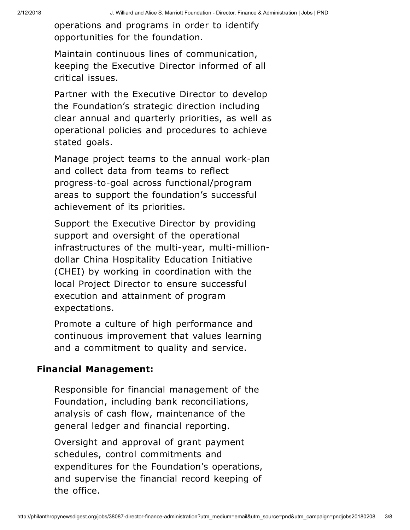operations and programs in order to identify opportunities for the foundation.

Maintain continuous lines of communication, keeping the Executive Director informed of all critical issues.

Partner with the Executive Director to develop the Foundation's strategic direction including clear annual and quarterly priorities, as well as operational policies and procedures to achieve stated goals.

Manage project teams to the annual work-plan and collect data from teams to reflect progress-to-goal across functional/program areas to support the foundation's successful achievement of its priorities.

Support the Executive Director by providing support and oversight of the operational infrastructures of the multi-year, multi-milliondollar China Hospitality Education Initiative (CHEI) by working in coordination with the local Project Director to ensure successful execution and attainment of program expectations.

Promote a culture of high performance and continuous improvement that values learning and a commitment to quality and service.

#### Financial Management:

Responsible for financial management of the Foundation, including bank reconciliations, analysis of cash flow, maintenance of the general ledger and financial reporting.

Oversight and approval of grant payment schedules, control commitments and expenditures for the Foundation's operations, and supervise the financial record keeping of the office.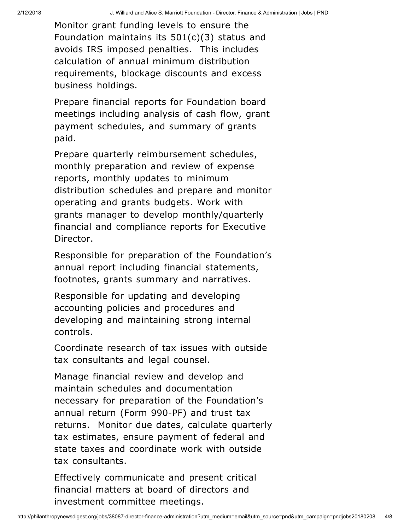Monitor grant funding levels to ensure the Foundation maintains its 501(c)(3) status and avoids IRS imposed penalties. This includes calculation of annual minimum distribution requirements, blockage discounts and excess business holdings.

Prepare financial reports for Foundation board meetings including analysis of cash flow, grant payment schedules, and summary of grants paid.

Prepare quarterly reimbursement schedules, monthly preparation and review of expense reports, monthly updates to minimum distribution schedules and prepare and monitor operating and grants budgets. Work with grants manager to develop monthly/quarterly financial and compliance reports for Executive Director.

Responsible for preparation of the Foundation's annual report including financial statements, footnotes, grants summary and narratives.

Responsible for updating and developing accounting policies and procedures and developing and maintaining strong internal controls.

Coordinate research of tax issues with outside tax consultants and legal counsel.

Manage financial review and develop and maintain schedules and documentation necessary for preparation of the Foundation's annual return (Form 990-PF) and trust tax returns. Monitor due dates, calculate quarterly tax estimates, ensure payment of federal and state taxes and coordinate work with outside tax consultants.

Effectively communicate and present critical financial matters at board of directors and investment committee meetings.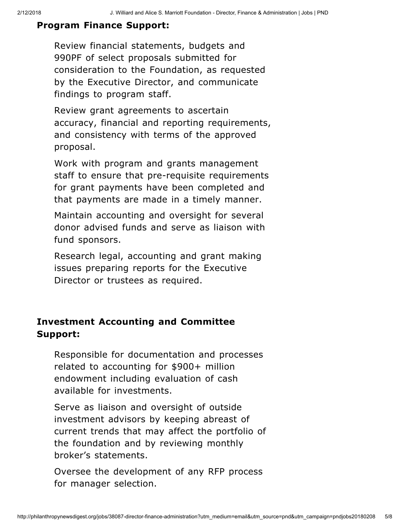#### Program Finance Support:

Review financial statements, budgets and 990PF of select proposals submitted for consideration to the Foundation, as requested by the Executive Director, and communicate findings to program staff.

Review grant agreements to ascertain accuracy, financial and reporting requirements, and consistency with terms of the approved proposal.

Work with program and grants management staff to ensure that pre-requisite requirements for grant payments have been completed and that payments are made in a timely manner.

Maintain accounting and oversight for several donor advised funds and serve as liaison with fund sponsors.

Research legal, accounting and grant making issues preparing reports for the Executive Director or trustees as required.

### Investment Accounting and Committee Support:

Responsible for documentation and processes related to accounting for \$900+ million endowment including evaluation of cash available for investments.

Serve as liaison and oversight of outside investment advisors by keeping abreast of current trends that may affect the portfolio of the foundation and by reviewing monthly broker's statements.

Oversee the development of any RFP process for manager selection.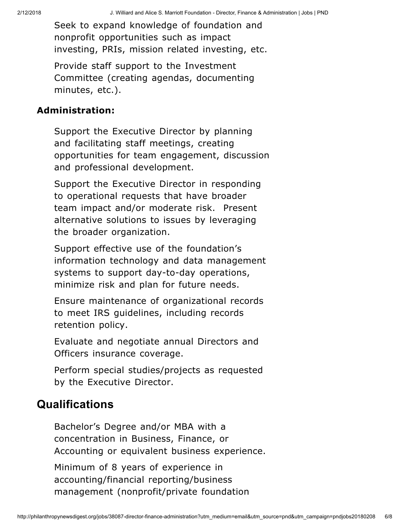Seek to expand knowledge of foundation and nonprofit opportunities such as impact investing, PRIs, mission related investing, etc.

Provide staff support to the Investment Committee (creating agendas, documenting minutes, etc.).

#### Administration:

Support the Executive Director by planning and facilitating staff meetings, creating opportunities for team engagement, discussion and professional development.

Support the Executive Director in responding to operational requests that have broader team impact and/or moderate risk. Present alternative solutions to issues by leveraging the broader organization.

Support effective use of the foundation's information technology and data management systems to support day-to-day operations, minimize risk and plan for future needs.

Ensure maintenance of organizational records to meet IRS guidelines, including records retention policy.

Evaluate and negotiate annual Directors and Officers insurance coverage.

Perform special studies/projects as requested by the Executive Director.

### **Qualifications**

Bachelor's Degree and/or MBA with a concentration in Business, Finance, or Accounting or equivalent business experience.

Minimum of 8 years of experience in accounting/financial reporting/business management (nonprofit/private foundation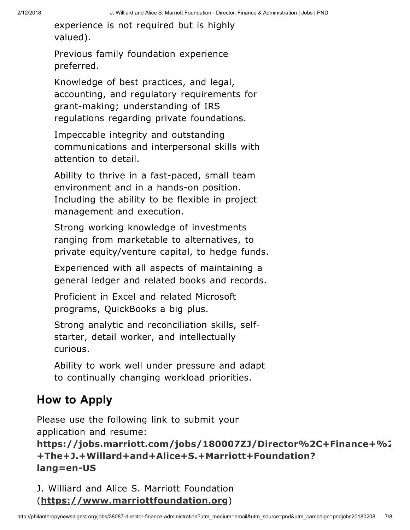experience is not required but is highly valued).

Previous family foundation experience preferred.

Knowledge of best practices, and legal, accounting, and regulatory requirements for grant-making; understanding of IRS regulations regarding private foundations.

Impeccable integrity and outstanding communications and interpersonal skills with attention to detail.

Ability to thrive in a fast-paced, small team environment and in a hands-on position. Including the ability to be flexible in project management and execution.

Strong working knowledge of investments ranging from marketable to alternatives, to private equity/venture capital, to hedge funds.

Experienced with all aspects of maintaining a general ledger and related books and records.

Proficient in Excel and related Microsoft programs, QuickBooks a big plus.

Strong analytic and reconciliation skills, selfstarter, detail worker, and intellectually curious.

Ability to work well under pressure and adapt to continually changing workload priorities.

# How to Apply

Please use the following link to submit your application and resume:

### [https://jobs.marriott.com/jobs/180007ZJ/Director%2C+Finance+%2](https://jobs.marriott.com/jobs/180007ZJ/Director%2C+Finance+%26+Administration+-+The+J.+Willard+and+Alice+S.+Marriott+Foundation?lang=en-US) +The+J.+Willard+and+Alice+S.+Marriott+Foundation? lang=en-US

J. Williard and Alice S. Marriott Foundation ([https://www.marriottfoundation.org](https://www.marriottfoundation.org/))